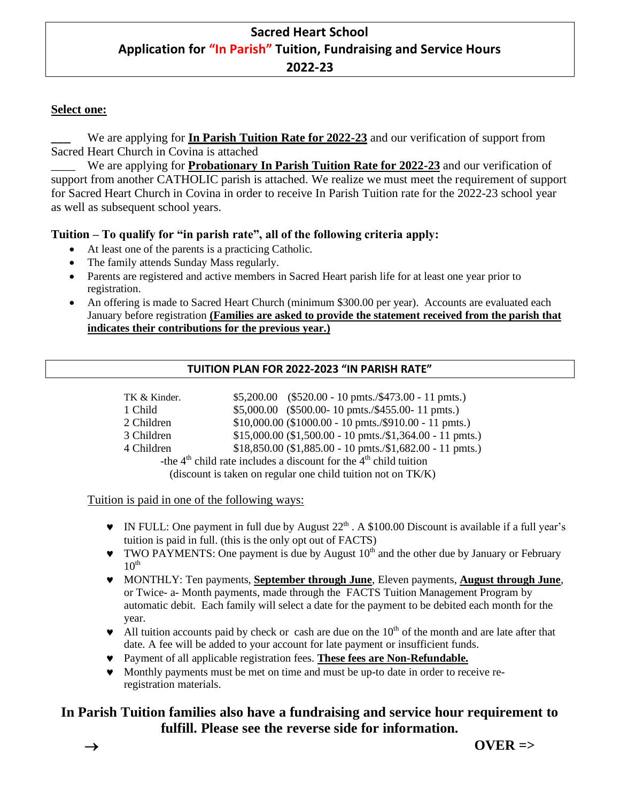# **Sacred Heart School Application for "In Parish" Tuition, Fundraising and Service Hours 2022-23**

## **Select one:**

We are applying for **In Parish Tuition Rate for 2022-23** and our verification of support from Sacred Heart Church in Covina is attached

We are applying for **Probationary In Parish Tuition Rate for 2022-23** and our verification of support from another CATHOLIC parish is attached. We realize we must meet the requirement of support for Sacred Heart Church in Covina in order to receive In Parish Tuition rate for the 2022-23 school year as well as subsequent school years.

## **Tuition – To qualify for "in parish rate", all of the following criteria apply:**

- At least one of the parents is a practicing Catholic.
- The family attends Sunday Mass regularly.
- Parents are registered and active members in Sacred Heart parish life for at least one year prior to registration.
- An offering is made to Sacred Heart Church (minimum \$300.00 per year). Accounts are evaluated each January before registration **(Families are asked to provide the statement received from the parish that indicates their contributions for the previous year.)**

#### **TUITION PLAN FOR 2022-2023 "IN PARISH RATE"**

| TK & Kinder.                                                          | $$5,200.00$ (\$520.00 - 10 pmts./\$473.00 - 11 pmts.)                    |
|-----------------------------------------------------------------------|--------------------------------------------------------------------------|
| 1 Child                                                               | $$5,000.00$ (\$500.00-10 pmts./\$455.00-11 pmts.)                        |
| 2 Children                                                            | $$10,000.00$ (\$1000.00 - 10 pmts./\$910.00 - 11 pmts.)                  |
| 3 Children                                                            | $$15,000.00$ (\$1,500.00 - 10 pmts./\$1,364.00 - 11 pmts.)               |
| 4 Children                                                            | $$18,850.00 ($1,885.00 - 10 \text{ pmts.}/$1,682.00 - 11 \text{ pmts.})$ |
| -the $4th$ child rate includes a discount for the $4th$ child tuition |                                                                          |
| (discount is taken on regular one child tuition not on TK/K)          |                                                                          |

Tuition is paid in one of the following ways:

- $\bullet$  IN FULL: One payment in full due by August  $22<sup>th</sup>$ . A \$100.00 Discount is available if a full year's tuition is paid in full. (this is the only opt out of FACTS)
- $\blacktriangledown$  TWO PAYMENTS: One payment is due by August  $10<sup>th</sup>$  and the other due by January or February  $10^{\text{th}}$
- MONTHLY: Ten payments, **September through June**, Eleven payments, **August through June**, or Twice- a- Month payments, made through the FACTS Tuition Management Program by automatic debit. Each family will select a date for the payment to be debited each month for the year.
- $\blacktriangleright$  All tuition accounts paid by check or cash are due on the 10<sup>th</sup> of the month and are late after that date. A fee will be added to your account for late payment or insufficient funds.
- Payment of all applicable registration fees. **These fees are Non-Refundable.**
- Monthly payments must be met on time and must be up-to date in order to receive reregistration materials.

## **In Parish Tuition families also have a fundraising and service hour requirement to fulfill. Please see the reverse side for information.**

→ **OVER =>**